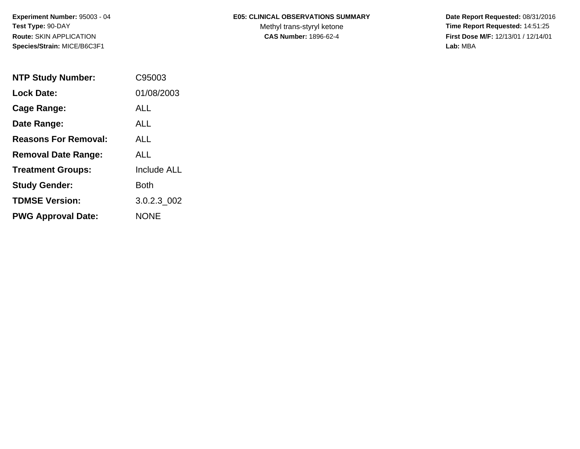# **E05: CLINICAL OBSERVATIONS SUMMARY**

Methyl trans-styryl ketone<br>CAS Number: 1896-62-4

 **Date Report Requested:** 08/31/2016 **Time Report Requested:** 14:51:25 **First Dose M/F:** 12/13/01 / 12/14/01<br>Lab: MBA **Lab:** MBA

| <b>NTP Study Number:</b>    | C95003             |
|-----------------------------|--------------------|
| <b>Lock Date:</b>           | 01/08/2003         |
| Cage Range:                 | ALL.               |
| Date Range:                 | ALL.               |
| <b>Reasons For Removal:</b> | ALL                |
| <b>Removal Date Range:</b>  | ALL                |
| <b>Treatment Groups:</b>    | <b>Include ALL</b> |
| <b>Study Gender:</b>        | Both               |
| <b>TDMSE Version:</b>       | 3.0.2.3 002        |
| <b>PWG Approval Date:</b>   | <b>NONE</b>        |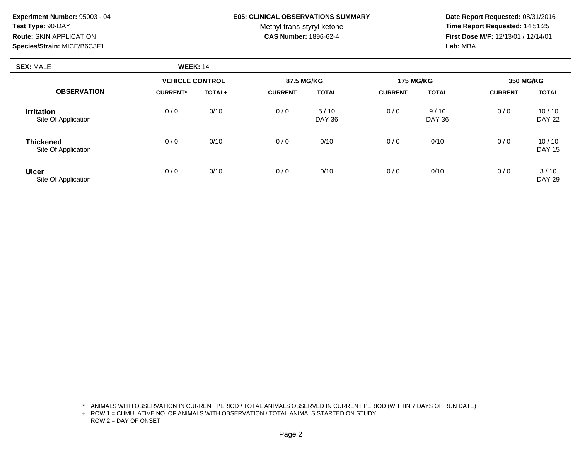## **E05: CLINICAL OBSERVATIONS SUMMARY**

Methyl trans-styryl ketone<br>CAS Number: 1896-62-4

 **Date Report Requested:** 08/31/2016 **Time Report Requested:** 14:51:25 **First Dose M/F:** 12/13/01 / 12/14/01<br>**Lab:** MBA **Lab:** MBA

| <b>SEX: MALE</b>                         | <b>WEEK: 14</b>        |        |                |                |                  |                       |                  |                        |
|------------------------------------------|------------------------|--------|----------------|----------------|------------------|-----------------------|------------------|------------------------|
|                                          | <b>VEHICLE CONTROL</b> |        | 87.5 MG/KG     |                | <b>175 MG/KG</b> |                       | <b>350 MG/KG</b> |                        |
| <b>OBSERVATION</b>                       | <b>CURRENT*</b>        | TOTAL+ | <b>CURRENT</b> | <b>TOTAL</b>   | <b>CURRENT</b>   | <b>TOTAL</b>          | <b>CURRENT</b>   | <b>TOTAL</b>           |
| <b>Irritation</b><br>Site Of Application | 0/0                    | 0/10   | 0/0            | 5/10<br>DAY 36 | 0/0              | 9/10<br><b>DAY 36</b> | 0/0              | 10/10<br><b>DAY 22</b> |
| <b>Thickened</b><br>Site Of Application  | 0/0                    | 0/10   | 0/0            | 0/10           | 0/0              | 0/10                  | 0/0              | 10/10<br><b>DAY 15</b> |
| <b>Ulcer</b><br>Site Of Application      | 0/0                    | 0/10   | 0/0            | 0/10           | 0/0              | 0/10                  | 0/0              | 3/10<br><b>DAY 29</b>  |

\* ANIMALS WITH OBSERVATION IN CURRENT PERIOD / TOTAL ANIMALS OBSERVED IN CURRENT PERIOD (WITHIN 7 DAYS OF RUN DATE)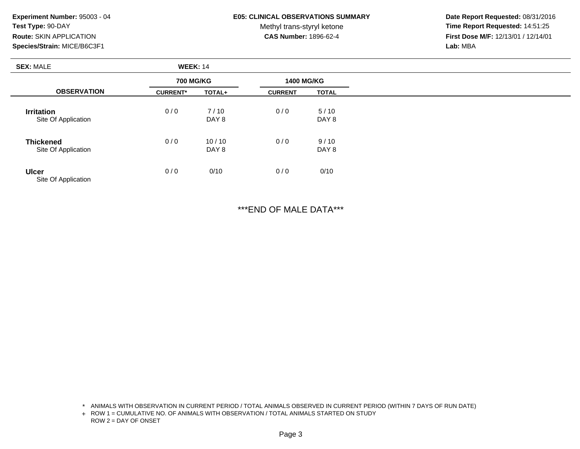#### **E05: CLINICAL OBSERVATIONS SUMMARY**

Methyl trans-styryl ketone<br>CAS Number: 1896-62-4

 **Date Report Requested:** 08/31/2016 **Time Report Requested:** 14:51:25 **First Dose M/F:** 12/13/01 / 12/14/01<br>**Lab:** MBA **Lab:** MBA

| <b>SEX: MALE</b>                         | <b>WEEK: 14</b>  |                |                   |               |  |  |
|------------------------------------------|------------------|----------------|-------------------|---------------|--|--|
|                                          | <b>700 MG/KG</b> |                | <b>1400 MG/KG</b> |               |  |  |
| <b>OBSERVATION</b>                       | <b>CURRENT*</b>  | TOTAL+         | <b>CURRENT</b>    | <b>TOTAL</b>  |  |  |
| <b>Irritation</b><br>Site Of Application | 0/0              | 7/10<br>DAY 8  | 0/0               | 5/10<br>DAY 8 |  |  |
|                                          |                  |                |                   |               |  |  |
| <b>Thickened</b><br>Site Of Application  | 0/0              | 10/10<br>DAY 8 | 0/0               | 9/10<br>DAY 8 |  |  |
| <b>Ulcer</b><br>Site Of Application      | 0/0              | 0/10           | 0/0               | 0/10          |  |  |

\*\*\*END OF MALE DATA\*\*\*

\* ANIMALS WITH OBSERVATION IN CURRENT PERIOD / TOTAL ANIMALS OBSERVED IN CURRENT PERIOD (WITHIN 7 DAYS OF RUN DATE)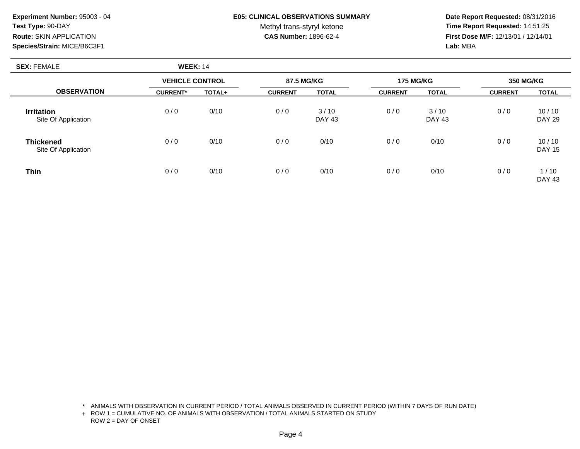## **E05: CLINICAL OBSERVATIONS SUMMARY**

Methyl trans-styryl ketone<br>CAS Number: 1896-62-4

 **Date Report Requested:** 08/31/2016 **Time Report Requested:** 14:51:25 **First Dose M/F:** 12/13/01 / 12/14/01<br>**Lab:** MBA **Lab:** MBA

| <b>SEX: FEMALE</b>                       | <b>WEEK: 14</b>        |        |                |                       |                  |                       |                  |                        |
|------------------------------------------|------------------------|--------|----------------|-----------------------|------------------|-----------------------|------------------|------------------------|
|                                          | <b>VEHICLE CONTROL</b> |        | 87.5 MG/KG     |                       | <b>175 MG/KG</b> |                       | <b>350 MG/KG</b> |                        |
| <b>OBSERVATION</b>                       | <b>CURRENT*</b>        | TOTAL+ | <b>CURRENT</b> | <b>TOTAL</b>          | <b>CURRENT</b>   | <b>TOTAL</b>          | <b>CURRENT</b>   | <b>TOTAL</b>           |
| <b>Irritation</b><br>Site Of Application | 0/0                    | 0/10   | 0/0            | 3/10<br><b>DAY 43</b> | 0/0              | 3/10<br><b>DAY 43</b> | 0/0              | 10/10<br><b>DAY 29</b> |
| <b>Thickened</b><br>Site Of Application  | 0/0                    | 0/10   | 0/0            | 0/10                  | 0/0              | 0/10                  | 0/0              | 10/10<br><b>DAY 15</b> |
| <b>Thin</b>                              | 0/0                    | 0/10   | 0/0            | 0/10                  | 0/0              | 0/10                  | 0/0              | 1/10<br><b>DAY 43</b>  |

\* ANIMALS WITH OBSERVATION IN CURRENT PERIOD / TOTAL ANIMALS OBSERVED IN CURRENT PERIOD (WITHIN 7 DAYS OF RUN DATE)